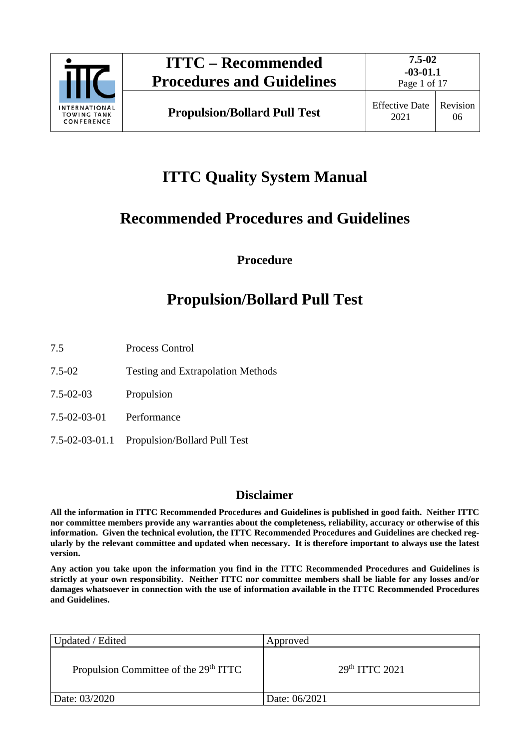

06

2021

# **ITTC Quality System Manual**

# **Recommended Procedures and Guidelines**

**Procedure**

# **Propulsion/Bollard Pull Test**

- 7.5 Process Control
- 7.5-02 Testing and Extrapolation Methods
- 7.5-02-03 Propulsion
- 7.5-02-03-01 Performance
- 7.5-02-03-01.1 Propulsion/Bollard Pull Test

# **Disclaimer**

**All the information in ITTC Recommended Procedures and Guidelines is published in good faith. Neither ITTC nor committee members provide any warranties about the completeness, reliability, accuracy or otherwise of this information. Given the technical evolution, the ITTC Recommended Procedures and Guidelines are checked regularly by the relevant committee and updated when necessary. It is therefore important to always use the latest version.**

**Any action you take upon the information you find in the ITTC Recommended Procedures and Guidelines is strictly at your own responsibility. Neither ITTC nor committee members shall be liable for any losses and/or damages whatsoever in connection with the use of information available in the ITTC Recommended Procedures and Guidelines.**

| Updated / Edited                                  | Approved                   |
|---------------------------------------------------|----------------------------|
| Propulsion Committee of the 29 <sup>th</sup> ITTC | 29 <sup>th</sup> TTTC 2021 |
| Date: 03/2020                                     | Date: 06/2021              |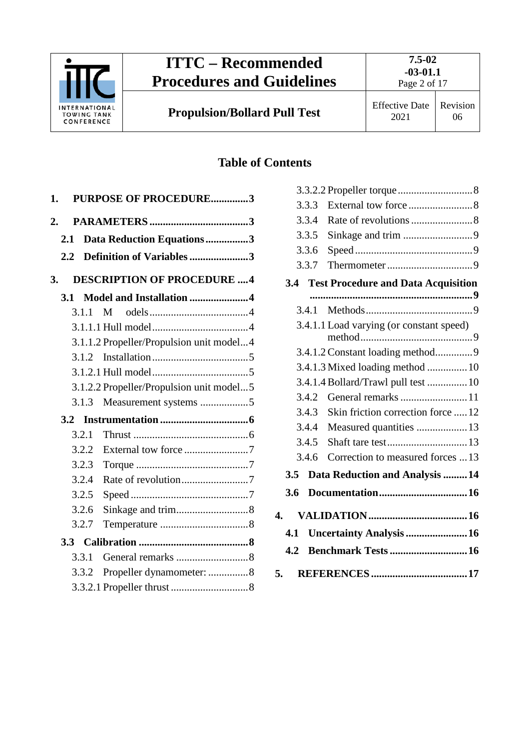

# **Table of Contents**

|       | <b>PURPOSE OF PROCEDURE3</b>             |
|-------|------------------------------------------|
|       |                                          |
|       | Data Reduction Equations3                |
|       | Definition of Variables3                 |
|       | <b>DESCRIPTION OF PROCEDURE 4</b>        |
| 3.1   | Model and Installation 4                 |
| 3.1.1 |                                          |
|       |                                          |
|       | 3.1.1.2 Propeller/Propulsion unit model4 |
|       |                                          |
|       |                                          |
|       | 3.1.2.2 Propeller/Propulsion unit model5 |
|       |                                          |
| 3.2   |                                          |
| 3.2.1 |                                          |
| 3.2.2 |                                          |
| 3.2.3 |                                          |
| 3.2.4 |                                          |
| 3.2.5 |                                          |
| 3.2.6 |                                          |
| 3.2.7 |                                          |
|       |                                          |
| 3.3.1 |                                          |
| 3.3.2 | Propeller dynamometer: 8                 |
|       |                                          |
|       |                                          |

|                | 3.3.3 |                                            |
|----------------|-------|--------------------------------------------|
|                | 3.3.4 |                                            |
|                | 3.3.5 |                                            |
|                | 3.3.6 |                                            |
|                | 3.3.7 |                                            |
|                | 3.4   | <b>Test Procedure and Data Acquisition</b> |
|                |       |                                            |
|                | 3.4.1 |                                            |
|                |       | 3.4.1.1 Load varying (or constant speed)   |
|                |       |                                            |
|                |       | 3.4.1.3 Mixed loading method  10           |
|                |       | 3.4.1.4 Bollard/Trawl pull test  10        |
|                | 3.4.2 | General remarks 11                         |
|                | 3.4.3 | Skin friction correction force  12         |
|                | 3.4.4 | Measured quantities  13                    |
|                | 3.4.5 |                                            |
|                | 3.4.6 | Correction to measured forces 13           |
|                |       | 3.5 Data Reduction and Analysis 14         |
| 3.6            |       |                                            |
| $\mathbf{4}$ . |       |                                            |
|                |       |                                            |
| 4.1            |       | Uncertainty Analysis  16                   |
|                | 4.2   |                                            |
| 5.             |       |                                            |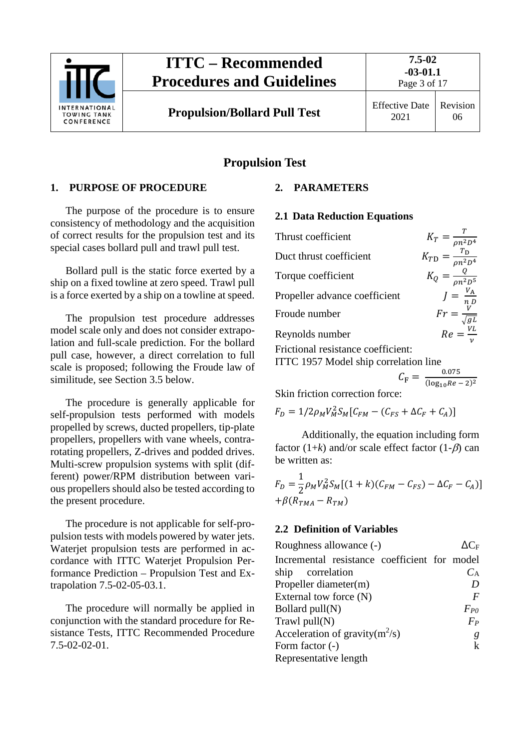

# **Propulsion Test**

## <span id="page-2-0"></span>**1. PURPOSE OF PROCEDURE**

The purpose of the procedure is to ensure consistency of methodology and the acquisition of correct results for the propulsion test and its special cases bollard pull and trawl pull test.

Bollard pull is the static force exerted by a ship on a fixed towline at zero speed. Trawl pull is a force exerted by a ship on a towline at speed.

The propulsion test procedure addresses model scale only and does not consider extrapolation and full-scale prediction. For the bollard pull case, however, a direct correlation to full scale is proposed; following the Froude law of similitude, see Section 3.5 below.

The procedure is generally applicable for self-propulsion tests performed with models propelled by screws, ducted propellers, tip-plate propellers, propellers with vane wheels, contrarotating propellers, Z-drives and podded drives. Multi-screw propulsion systems with split (different) power/RPM distribution between various propellers should also be tested according to the present procedure.

The procedure is not applicable for self-propulsion tests with models powered by water jets. Waterjet propulsion tests are performed in accordance with ITTC Waterjet Propulsion Performance Prediction – Propulsion Test and Extrapolation 7.5-02-05-03.1.

The procedure will normally be applied in conjunction with the standard procedure for Resistance Tests, ITTC Recommended Procedure 7.5-02-02-01.

# <span id="page-2-2"></span><span id="page-2-1"></span>**2. PARAMETERS**

#### **2.1 Data Reduction Equations**

Thrust coefficient  $K_T = \frac{T}{\rho n^2 D^4}$ Duct thrust coefficient  $\rho n^2 D^4$ Torque coefficient  $K_Q = \frac{Q}{\rho n^2 D^5}$ Propeller advance coefficient Froude number  $Fr = \frac{hD}{\sqrt{gL}}$ Reynolds number  $Re = \frac{VL}{L}$  $\boldsymbol{\nu}$ Frictional resistance coefficient:

ITTC 1957 Model ship correlation line

$$
C_{\rm F} = \frac{0.075}{(\log_{10}Re - 2)^2}
$$

Skin friction correction force:

$$
F_D = 1/2 \rho_M V_M^2 S_M [C_{FM} - (C_{FS} + \Delta C_F + C_A)]
$$

Additionally, the equation including form factor  $(1+k)$  and/or scale effect factor  $(1-\beta)$  can be written as:

$$
F_D = \frac{1}{2} \rho_M V_M^2 S_M [(1 + k)(C_{FM} - C_{FS}) - \Delta C_F - C_A)] + \beta (R_{TMA} - R_{TM})
$$

## <span id="page-2-3"></span>**2.2 Definition of Variables**

| $\Lambda \mathrm{C}_{\mathrm{F}}$            |
|----------------------------------------------|
| Incremental resistance coefficient for model |
| $C_{\rm A}$                                  |
| D                                            |
| $\bm{F}$                                     |
| $F_{PQ}$                                     |
| $F_P$                                        |
| g                                            |
| $\mathbf k$                                  |
|                                              |
|                                              |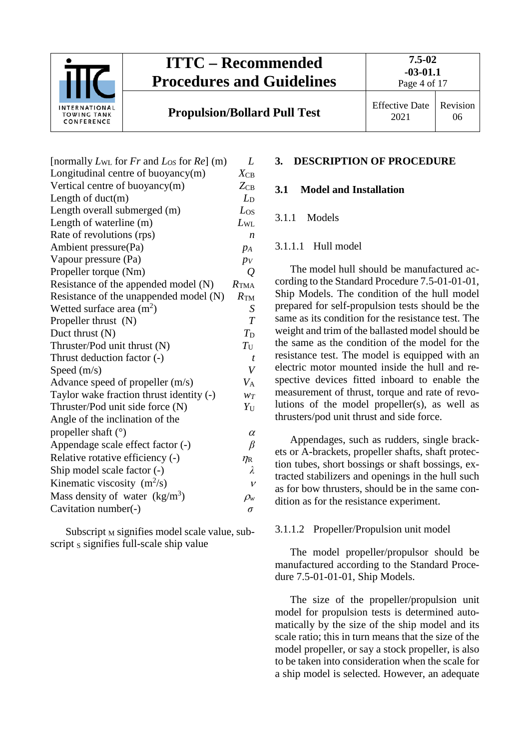

**7.5-02 -03-01.1**

Page 4 of 17

**Propulsion/Bollard Pull Test** Effective Date

| L                             |
|-------------------------------|
| $X_{CB}$                      |
| $Z_{CB}$                      |
| $L_{\rm D}$                   |
| $L_{OS}$                      |
| $L_{\rm WL}$                  |
| $\boldsymbol{n}$              |
| $p_A$                         |
| $p_V$                         |
| Q                             |
| $R_{\text{TMA}}$              |
| $R_{\text{TM}}$               |
| S                             |
| $\overline{T}$                |
| $T_{\mathrm{D}}$              |
| $T_{\rm U}$                   |
| t                             |
| V                             |
| $V_{\rm A}$                   |
| $W_T$                         |
| $Y_{\rm U}$                   |
|                               |
| $\alpha$                      |
| β                             |
| $\eta_{\rm R}$                |
| λ                             |
| $\mathcal{V}$                 |
| $\rho_{\scriptscriptstyle W}$ |
| σ                             |
|                               |

Subscript  $M$  signifies model scale value, subscript  $s$  signifies full-scale ship value

# <span id="page-3-1"></span><span id="page-3-0"></span>**3. DESCRIPTION OF PROCEDURE**

# <span id="page-3-2"></span>**3.1 Model and Installation**

## <span id="page-3-3"></span>3.1.1 Models

## 3.1.1.1 Hull model

The model hull should be manufactured according to the Standard Procedure 7.5-01-01-01, Ship Models. The condition of the hull model prepared for self-propulsion tests should be the same as its condition for the resistance test. The weight and trim of the ballasted model should be the same as the condition of the model for the resistance test. The model is equipped with an electric motor mounted inside the hull and respective devices fitted inboard to enable the measurement of thrust, torque and rate of revolutions of the model propeller(s), as well as thrusters/pod unit thrust and side force.

Appendages, such as rudders, single brackets or A-brackets, propeller shafts, shaft protection tubes, short bossings or shaft bossings, extracted stabilizers and openings in the hull such as for bow thrusters, should be in the same condition as for the resistance experiment.

## <span id="page-3-4"></span>3.1.1.2 Propeller/Propulsion unit model

The model propeller/propulsor should be manufactured according to the Standard Procedure 7.5-01-01-01, Ship Models.

The size of the propeller/propulsion unit model for propulsion tests is determined automatically by the size of the ship model and its scale ratio; this in turn means that the size of the model propeller, or say a stock propeller, is also to be taken into consideration when the scale for a ship model is selected. However, an adequate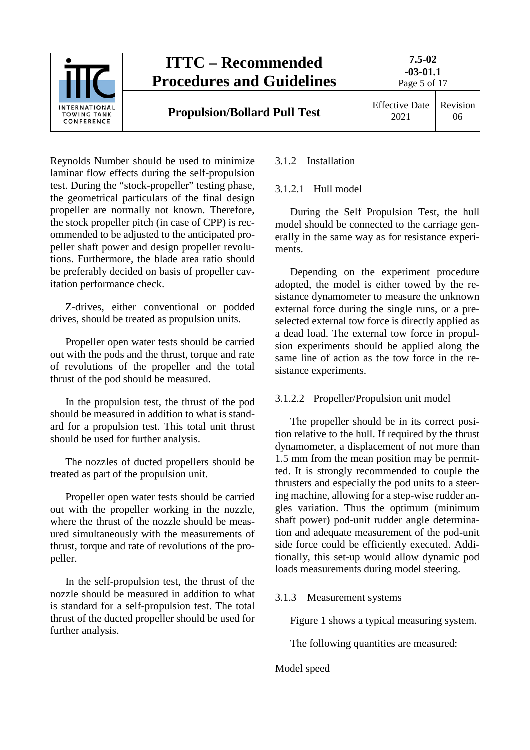

Reynolds Number should be used to minimize laminar flow effects during the self-propulsion test. During the "stock-propeller" testing phase, the geometrical particulars of the final design propeller are normally not known. Therefore, the stock propeller pitch (in case of CPP) is recommended to be adjusted to the anticipated propeller shaft power and design propeller revolutions. Furthermore, the blade area ratio should be preferably decided on basis of propeller cavitation performance check.

Z-drives, either conventional or podded drives, should be treated as propulsion units.

Propeller open water tests should be carried out with the pods and the thrust, torque and rate of revolutions of the propeller and the total thrust of the pod should be measured.

In the propulsion test, the thrust of the pod should be measured in addition to what is standard for a propulsion test. This total unit thrust should be used for further analysis.

The nozzles of ducted propellers should be treated as part of the propulsion unit.

Propeller open water tests should be carried out with the propeller working in the nozzle, where the thrust of the nozzle should be measured simultaneously with the measurements of thrust, torque and rate of revolutions of the propeller.

In the self-propulsion test, the thrust of the nozzle should be measured in addition to what is standard for a self-propulsion test. The total thrust of the ducted propeller should be used for further analysis.

# <span id="page-4-1"></span><span id="page-4-0"></span>3.1.2 Installation

# 3.1.2.1 Hull model

During the Self Propulsion Test, the hull model should be connected to the carriage generally in the same way as for resistance experiments.

Depending on the experiment procedure adopted, the model is either towed by the resistance dynamometer to measure the unknown external force during the single runs, or a preselected external tow force is directly applied as a dead load. The external tow force in propulsion experiments should be applied along the same line of action as the tow force in the resistance experiments.

# <span id="page-4-2"></span>3.1.2.2 Propeller/Propulsion unit model

The propeller should be in its correct position relative to the hull. If required by the thrust dynamometer, a displacement of not more than 1.5 mm from the mean position may be permitted. It is strongly recommended to couple the thrusters and especially the pod units to a steering machine, allowing for a step-wise rudder angles variation. Thus the optimum (minimum shaft power) pod-unit rudder angle determination and adequate measurement of the pod-unit side force could be efficiently executed. Additionally, this set-up would allow dynamic pod loads measurements during model steering.

# <span id="page-4-3"></span>3.1.3 Measurement systems

Figure 1 shows a typical measuring system.

The following quantities are measured:

## Model speed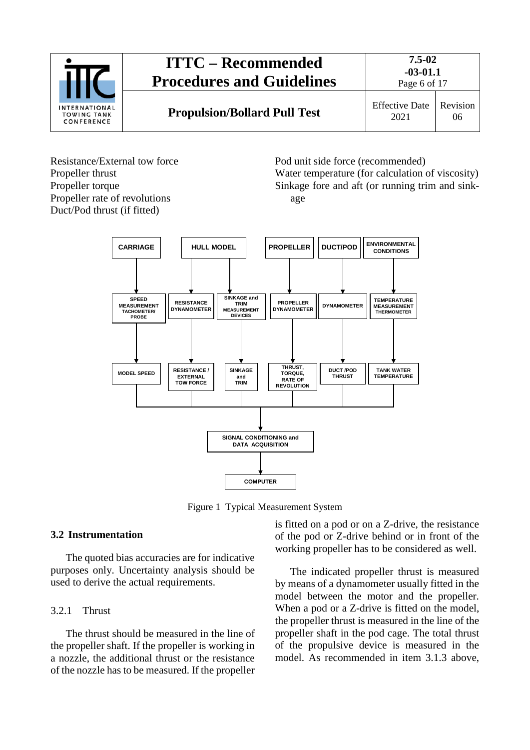

Resistance/External tow force Propeller thrust Propeller torque Propeller rate of revolutions Duct/Pod thrust (if fitted)

Pod unit side force (recommended) Water temperature (for calculation of viscosity) Sinkage fore and aft (or running trim and sinkage



Figure 1 Typical Measurement System

# <span id="page-5-0"></span>**3.2 Instrumentation**

The quoted bias accuracies are for indicative purposes only. Uncertainty analysis should be used to derive the actual requirements.

## <span id="page-5-1"></span>3.2.1 Thrust

The thrust should be measured in the line of the propeller shaft. If the propeller is working in a nozzle, the additional thrust or the resistance of the nozzle has to be measured. If the propeller is fitted on a pod or on a Z-drive, the resistance of the pod or Z-drive behind or in front of the working propeller has to be considered as well.

The indicated propeller thrust is measured by means of a dynamometer usually fitted in the model between the motor and the propeller. When a pod or a Z-drive is fitted on the model, the propeller thrust is measured in the line of the propeller shaft in the pod cage. The total thrust of the propulsive device is measured in the model. As recommended in item 3.1.3 above,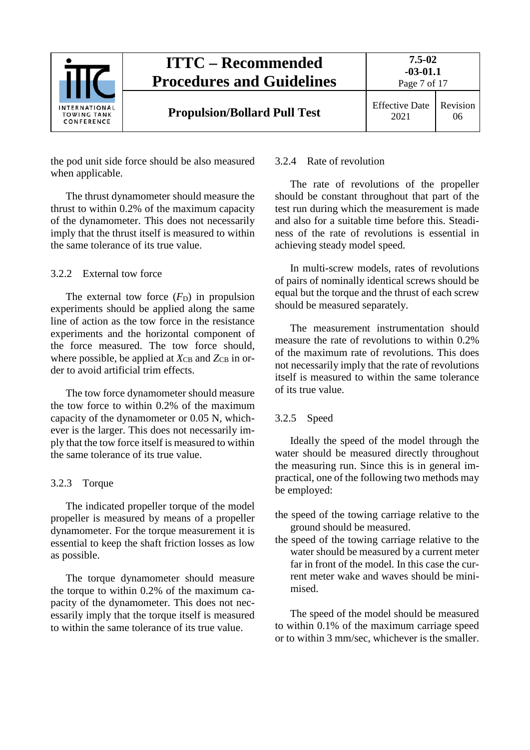

the pod unit side force should be also measured when applicable.

The thrust dynamometer should measure the thrust to within 0.2% of the maximum capacity of the dynamometer. This does not necessarily imply that the thrust itself is measured to within the same tolerance of its true value.

# <span id="page-6-0"></span>3.2.2 External tow force

The external tow force  $(F_D)$  in propulsion experiments should be applied along the same line of action as the tow force in the resistance experiments and the horizontal component of the force measured. The tow force should, where possible, be applied at  $X_{CB}$  and  $Z_{CB}$  in order to avoid artificial trim effects.

The tow force dynamometer should measure the tow force to within 0.2% of the maximum capacity of the dynamometer or 0.05 N, whichever is the larger. This does not necessarily imply that the tow force itself is measured to within the same tolerance of its true value.

## <span id="page-6-1"></span>3.2.3 Torque

The indicated propeller torque of the model propeller is measured by means of a propeller dynamometer. For the torque measurement it is essential to keep the shaft friction losses as low as possible.

The torque dynamometer should measure the torque to within 0.2% of the maximum capacity of the dynamometer. This does not necessarily imply that the torque itself is measured to within the same tolerance of its true value.

## <span id="page-6-2"></span>3.2.4 Rate of revolution

The rate of revolutions of the propeller should be constant throughout that part of the test run during which the measurement is made and also for a suitable time before this. Steadiness of the rate of revolutions is essential in achieving steady model speed.

In multi-screw models, rates of revolutions of pairs of nominally identical screws should be equal but the torque and the thrust of each screw should be measured separately.

The measurement instrumentation should measure the rate of revolutions to within 0.2% of the maximum rate of revolutions. This does not necessarily imply that the rate of revolutions itself is measured to within the same tolerance of its true value.

## <span id="page-6-3"></span>3.2.5 Speed

Ideally the speed of the model through the water should be measured directly throughout the measuring run. Since this is in general impractical, one of the following two methods may be employed:

- the speed of the towing carriage relative to the ground should be measured.
- the speed of the towing carriage relative to the water should be measured by a current meter far in front of the model. In this case the current meter wake and waves should be minimised.

The speed of the model should be measured to within 0.1% of the maximum carriage speed or to within 3 mm/sec, whichever is the smaller.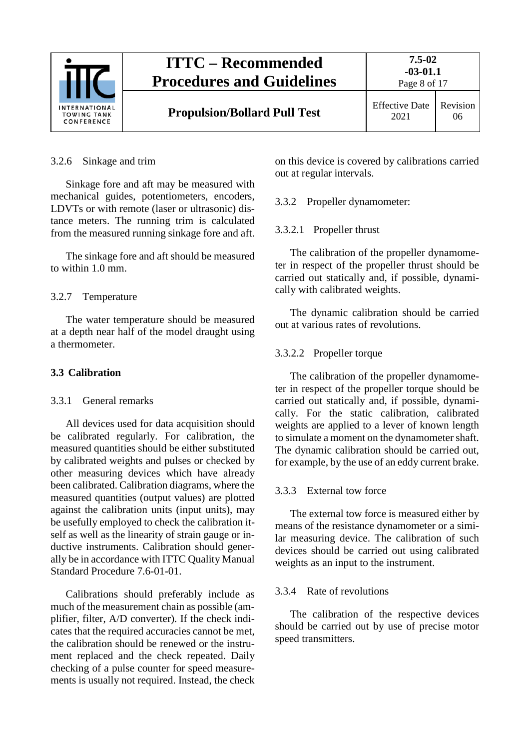

#### <span id="page-7-0"></span>3.2.6 Sinkage and trim

Sinkage fore and aft may be measured with mechanical guides, potentiometers, encoders, LDVTs or with remote (laser or ultrasonic) distance meters. The running trim is calculated from the measured running sinkage fore and aft.

The sinkage fore and aft should be measured to within 1.0 mm.

#### <span id="page-7-1"></span>3.2.7 Temperature

The water temperature should be measured at a depth near half of the model draught using a thermometer.

### <span id="page-7-3"></span><span id="page-7-2"></span>**3.3 Calibration**

#### 3.3.1 General remarks

All devices used for data acquisition should be calibrated regularly. For calibration, the measured quantities should be either substituted by calibrated weights and pulses or checked by other measuring devices which have already been calibrated. Calibration diagrams, where the measured quantities (output values) are plotted against the calibration units (input units), may be usefully employed to check the calibration itself as well as the linearity of strain gauge or inductive instruments. Calibration should generally be in accordance with ITTC Quality Manual Standard Procedure 7.6-01-01.

Calibrations should preferably include as much of the measurement chain as possible (amplifier, filter, A/D converter). If the check indicates that the required accuracies cannot be met, the calibration should be renewed or the instrument replaced and the check repeated. Daily checking of a pulse counter for speed measurements is usually not required. Instead, the check on this device is covered by calibrations carried out at regular intervals.

<span id="page-7-5"></span><span id="page-7-4"></span>3.3.2 Propeller dynamometer:

#### 3.3.2.1 Propeller thrust

The calibration of the propeller dynamometer in respect of the propeller thrust should be carried out statically and, if possible, dynamically with calibrated weights.

The dynamic calibration should be carried out at various rates of revolutions.

#### <span id="page-7-6"></span>3.3.2.2 Propeller torque

The calibration of the propeller dynamometer in respect of the propeller torque should be carried out statically and, if possible, dynamically. For the static calibration, calibrated weights are applied to a lever of known length to simulate a moment on the dynamometer shaft. The dynamic calibration should be carried out, for example, by the use of an eddy current brake.

#### <span id="page-7-7"></span>3.3.3 External tow force

The external tow force is measured either by means of the resistance dynamometer or a similar measuring device. The calibration of such devices should be carried out using calibrated weights as an input to the instrument.

#### <span id="page-7-8"></span>3.3.4 Rate of revolutions

The calibration of the respective devices should be carried out by use of precise motor speed transmitters.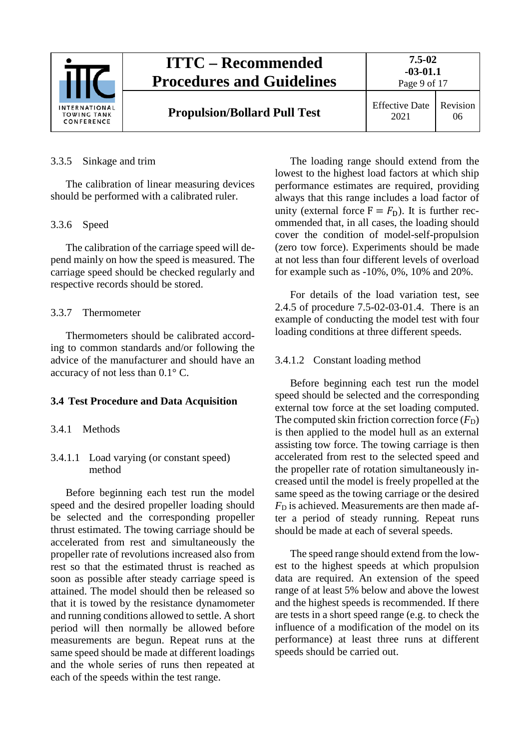

## <span id="page-8-0"></span>3.3.5 Sinkage and trim

The calibration of linear measuring devices should be performed with a calibrated ruler.

#### <span id="page-8-1"></span>3.3.6 Speed

The calibration of the carriage speed will depend mainly on how the speed is measured. The carriage speed should be checked regularly and respective records should be stored.

#### <span id="page-8-2"></span>3.3.7 Thermometer

Thermometers should be calibrated according to common standards and/or following the advice of the manufacturer and should have an accuracy of not less than 0.1° C.

#### <span id="page-8-4"></span><span id="page-8-3"></span>**3.4 Test Procedure and Data Acquisition**

## <span id="page-8-5"></span>3.4.1 Methods

## 3.4.1.1 Load varying (or constant speed) method

Before beginning each test run the model speed and the desired propeller loading should be selected and the corresponding propeller thrust estimated. The towing carriage should be accelerated from rest and simultaneously the propeller rate of revolutions increased also from rest so that the estimated thrust is reached as soon as possible after steady carriage speed is attained. The model should then be released so that it is towed by the resistance dynamometer and running conditions allowed to settle. A short period will then normally be allowed before measurements are begun. Repeat runs at the same speed should be made at different loadings and the whole series of runs then repeated at each of the speeds within the test range.

The loading range should extend from the lowest to the highest load factors at which ship performance estimates are required, providing always that this range includes a load factor of unity (external force  $F = F<sub>D</sub>$ ). It is further recommended that, in all cases, the loading should cover the condition of model-self-propulsion (zero tow force). Experiments should be made at not less than four different levels of overload for example such as -10%, 0%, 10% and 20%.

For details of the load variation test, see 2.4.5 of procedure 7.5-02-03-01.4. There is an example of conducting the model test with four loading conditions at three different speeds.

#### <span id="page-8-6"></span>3.4.1.2 Constant loading method

Before beginning each test run the model speed should be selected and the corresponding external tow force at the set loading computed. The computed skin friction correction force  $(F_D)$ is then applied to the model hull as an external assisting tow force. The towing carriage is then accelerated from rest to the selected speed and the propeller rate of rotation simultaneously increased until the model is freely propelled at the same speed as the towing carriage or the desired  $F<sub>D</sub>$  is achieved. Measurements are then made after a period of steady running. Repeat runs should be made at each of several speeds.

The speed range should extend from the lowest to the highest speeds at which propulsion data are required. An extension of the speed range of at least 5% below and above the lowest and the highest speeds is recommended. If there are tests in a short speed range (e.g. to check the influence of a modification of the model on its performance) at least three runs at different speeds should be carried out.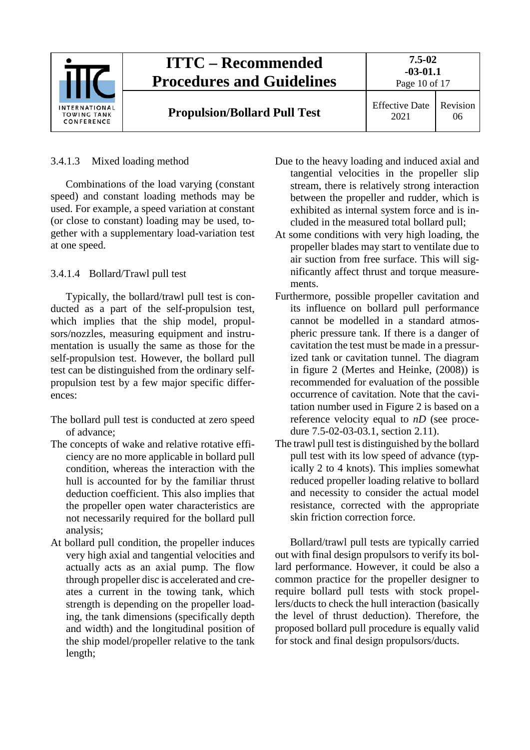

# <span id="page-9-0"></span>3.4.1.3 Mixed loading method

Combinations of the load varying (constant speed) and constant loading methods may be used. For example, a speed variation at constant (or close to constant) loading may be used, together with a supplementary load-variation test at one speed.

# <span id="page-9-1"></span>3.4.1.4 Bollard/Trawl pull test

Typically, the bollard/trawl pull test is conducted as a part of the self-propulsion test, which implies that the ship model, propulsors/nozzles, measuring equipment and instrumentation is usually the same as those for the self-propulsion test. However, the bollard pull test can be distinguished from the ordinary selfpropulsion test by a few major specific differences:

- The bollard pull test is conducted at zero speed of advance;
- The concepts of wake and relative rotative efficiency are no more applicable in bollard pull condition, whereas the interaction with the hull is accounted for by the familiar thrust deduction coefficient. This also implies that the propeller open water characteristics are not necessarily required for the bollard pull analysis;
- At bollard pull condition, the propeller induces very high axial and tangential velocities and actually acts as an axial pump. The flow through propeller disc is accelerated and creates a current in the towing tank, which strength is depending on the propeller loading, the tank dimensions (specifically depth and width) and the longitudinal position of the ship model/propeller relative to the tank length;
- Due to the heavy loading and induced axial and tangential velocities in the propeller slip stream, there is relatively strong interaction between the propeller and rudder, which is exhibited as internal system force and is included in the measured total bollard pull;
- At some conditions with very high loading, the propeller blades may start to ventilate due to air suction from free surface. This will significantly affect thrust and torque measurements.
- Furthermore, possible propeller cavitation and its influence on bollard pull performance cannot be modelled in a standard atmospheric pressure tank. If there is a danger of cavitation the test must be made in a pressurized tank or cavitation tunnel. The diagram in figure 2 (Mertes and Heinke, (2008)) is recommended for evaluation of the possible occurrence of cavitation. Note that the cavitation number used in Figure 2 is based on a reference velocity equal to *nD* (see procedure 7.5-02-03-03.1, section 2.11).
- The trawl pull test is distinguished by the bollard pull test with its low speed of advance (typically 2 to 4 knots). This implies somewhat reduced propeller loading relative to bollard and necessity to consider the actual model resistance, corrected with the appropriate skin friction correction force.

Bollard/trawl pull tests are typically carried out with final design propulsors to verify its bollard performance. However, it could be also a common practice for the propeller designer to require bollard pull tests with stock propellers/ducts to check the hull interaction (basically the level of thrust deduction). Therefore, the proposed bollard pull procedure is equally valid for stock and final design propulsors/ducts.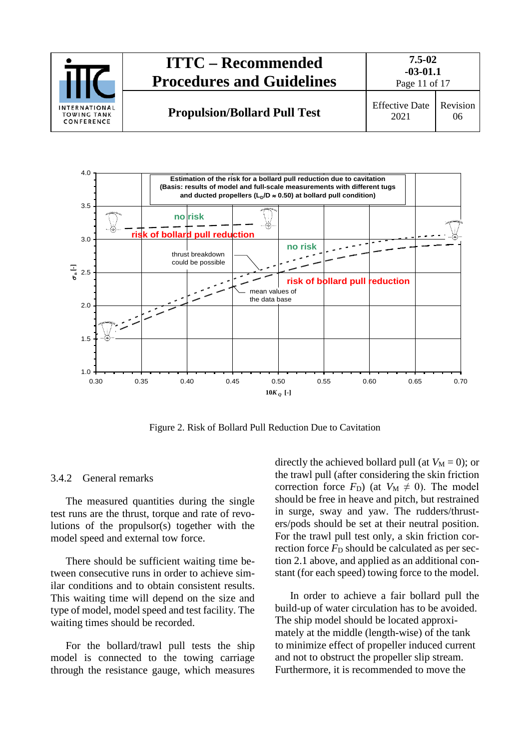



Figure 2. Risk of Bollard Pull Reduction Due to Cavitation

## <span id="page-10-0"></span>3.4.2 General remarks

The measured quantities during the single test runs are the thrust, torque and rate of revolutions of the propulsor(s) together with the model speed and external tow force.

There should be sufficient waiting time between consecutive runs in order to achieve similar conditions and to obtain consistent results. This waiting time will depend on the size and type of model, model speed and test facility. The waiting times should be recorded.

For the bollard/trawl pull tests the ship model is connected to the towing carriage through the resistance gauge, which measures directly the achieved bollard pull (at  $V_M = 0$ ); or the trawl pull (after considering the skin friction correction force  $F_D$ ) (at  $V_M \neq 0$ ). The model should be free in heave and pitch, but restrained in surge, sway and yaw. The rudders/thrusters/pods should be set at their neutral position. For the trawl pull test only, a skin friction correction force  $F<sub>D</sub>$  should be calculated as per section 2.1 above, and applied as an additional constant (for each speed) towing force to the model.

In order to achieve a fair bollard pull the build-up of water circulation has to be avoided. The ship model should be located approximately at the middle (length-wise) of the tank to minimize effect of propeller induced current and not to obstruct the propeller slip stream. Furthermore, it is recommended to move the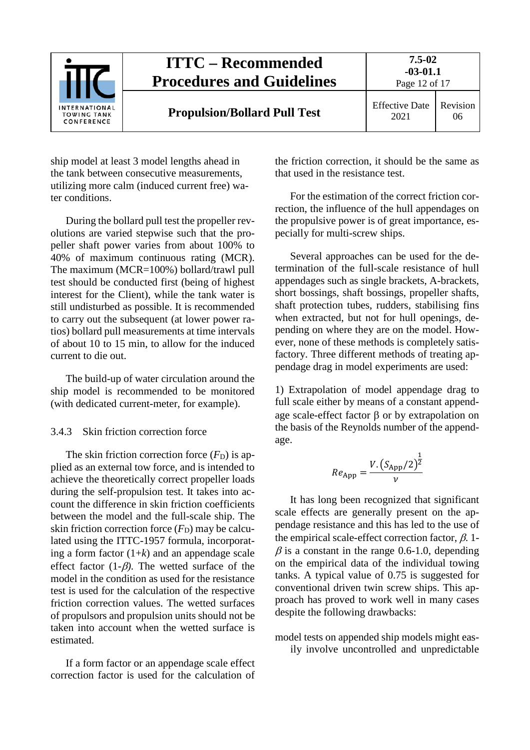

ship model at least 3 model lengths ahead in the tank between consecutive measurements, utilizing more calm (induced current free) water conditions.

During the bollard pull test the propeller revolutions are varied stepwise such that the propeller shaft power varies from about 100% to 40% of maximum continuous rating (MCR). The maximum (MCR=100%) bollard/trawl pull test should be conducted first (being of highest interest for the Client), while the tank water is still undisturbed as possible. It is recommended to carry out the subsequent (at lower power ratios) bollard pull measurements at time intervals of about 10 to 15 min, to allow for the induced current to die out.

The build-up of water circulation around the ship model is recommended to be monitored (with dedicated current-meter, for example).

#### <span id="page-11-0"></span>3.4.3 Skin friction correction force

The skin friction correction force  $(F<sub>D</sub>)$  is applied as an external tow force, and is intended to achieve the theoretically correct propeller loads during the self-propulsion test. It takes into account the difference in skin friction coefficients between the model and the full-scale ship. The skin friction correction force  $(F_D)$  may be calculated using the ITTC-1957 formula, incorporating a form factor  $(1+k)$  and an appendage scale effect factor (1-β*)*. The wetted surface of the model in the condition as used for the resistance test is used for the calculation of the respective friction correction values. The wetted surfaces of propulsors and propulsion units should not be taken into account when the wetted surface is estimated.

If a form factor or an appendage scale effect correction factor is used for the calculation of the friction correction, it should be the same as that used in the resistance test.

For the estimation of the correct friction correction, the influence of the hull appendages on the propulsive power is of great importance, especially for multi-screw ships.

Several approaches can be used for the determination of the full-scale resistance of hull appendages such as single brackets, A-brackets, short bossings, shaft bossings, propeller shafts, shaft protection tubes, rudders, stabilising fins when extracted, but not for hull openings, depending on where they are on the model. However, none of these methods is completely satisfactory. Three different methods of treating appendage drag in model experiments are used:

1) Extrapolation of model appendage drag to full scale either by means of a constant appendage scale-effect factor β or by extrapolation on the basis of the Reynolds number of the appendage.

$$
Re_{\rm App} = \frac{V. (S_{\rm App}/2)^{\frac{1}{2}}}{v}
$$

It has long been recognized that significant scale effects are generally present on the appendage resistance and this has led to the use of the empirical scale-effect correction factor,  $\beta$ , 1- $\beta$  is a constant in the range 0.6-1.0, depending on the empirical data of the individual towing tanks. A typical value of 0.75 is suggested for conventional driven twin screw ships. This approach has proved to work well in many cases despite the following drawbacks:

model tests on appended ship models might easily involve uncontrolled and unpredictable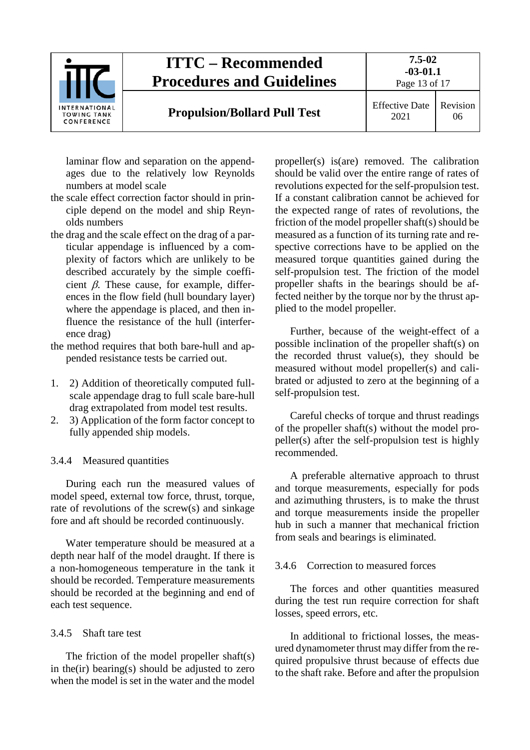

laminar flow and separation on the appendages due to the relatively low Reynolds numbers at model scale

- the scale effect correction factor should in principle depend on the model and ship Reynolds numbers
- the drag and the scale effect on the drag of a particular appendage is influenced by a complexity of factors which are unlikely to be described accurately by the simple coefficient  $\beta$ . These cause, for example, differences in the flow field (hull boundary layer) where the appendage is placed, and then influence the resistance of the hull (interference drag)
- the method requires that both bare-hull and appended resistance tests be carried out.
- 1. 2) Addition of theoretically computed fullscale appendage drag to full scale bare-hull drag extrapolated from model test results.
- 2. 3) Application of the form factor concept to fully appended ship models.

## <span id="page-12-0"></span>3.4.4 Measured quantities

During each run the measured values of model speed, external tow force, thrust, torque, rate of revolutions of the screw(s) and sinkage fore and aft should be recorded continuously.

Water temperature should be measured at a depth near half of the model draught. If there is a non-homogeneous temperature in the tank it should be recorded. Temperature measurements should be recorded at the beginning and end of each test sequence.

#### <span id="page-12-1"></span>3.4.5 Shaft tare test

The friction of the model propeller shaft(s) in the(ir) bearing(s) should be adjusted to zero when the model is set in the water and the model

propeller(s) is(are) removed. The calibration should be valid over the entire range of rates of revolutions expected for the self-propulsion test. If a constant calibration cannot be achieved for the expected range of rates of revolutions, the friction of the model propeller shaft(s) should be measured as a function of its turning rate and respective corrections have to be applied on the measured torque quantities gained during the self-propulsion test. The friction of the model propeller shafts in the bearings should be affected neither by the torque nor by the thrust applied to the model propeller.

Further, because of the weight-effect of a possible inclination of the propeller shaft(s) on the recorded thrust value(s), they should be measured without model propeller(s) and calibrated or adjusted to zero at the beginning of a self-propulsion test.

Careful checks of torque and thrust readings of the propeller shaft(s) without the model propeller(s) after the self-propulsion test is highly recommended.

A preferable alternative approach to thrust and torque measurements, especially for pods and azimuthing thrusters, is to make the thrust and torque measurements inside the propeller hub in such a manner that mechanical friction from seals and bearings is eliminated.

#### <span id="page-12-2"></span>3.4.6 Correction to measured forces

The forces and other quantities measured during the test run require correction for shaft losses, speed errors, etc.

In additional to frictional losses, the measured dynamometer thrust may differ from the required propulsive thrust because of effects due to the shaft rake. Before and after the propulsion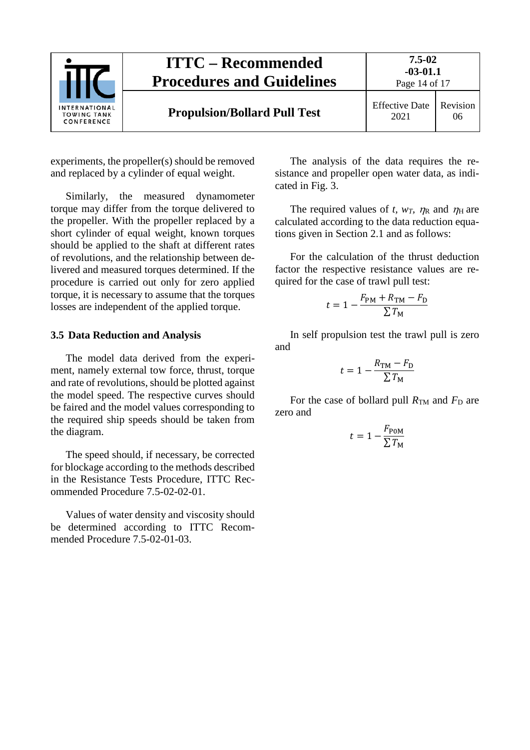

experiments, the propeller(s) should be removed and replaced by a cylinder of equal weight.

Similarly, the measured dynamometer torque may differ from the torque delivered to the propeller. With the propeller replaced by a short cylinder of equal weight, known torques should be applied to the shaft at different rates of revolutions, and the relationship between delivered and measured torques determined. If the procedure is carried out only for zero applied torque, it is necessary to assume that the torques losses are independent of the applied torque.

## <span id="page-13-0"></span>**3.5 Data Reduction and Analysis**

The model data derived from the experiment, namely external tow force, thrust, torque and rate of revolutions, should be plotted against the model speed. The respective curves should be faired and the model values corresponding to the required ship speeds should be taken from the diagram.

The speed should, if necessary, be corrected for blockage according to the methods described in the Resistance Tests Procedure, ITTC Recommended Procedure 7.5-02-02-01.

Values of water density and viscosity should be determined according to ITTC Recommended Procedure 7.5-02-01-03.

The analysis of the data requires the resistance and propeller open water data, as indicated in Fig. 3.

The required values of *t, w<sub>T</sub>,*  $\eta_R$  and  $\eta_H$  are calculated according to the data reduction equations given in Section 2.1 and as follows:

For the calculation of the thrust deduction factor the respective resistance values are required for the case of trawl pull test:

$$
t = 1 - \frac{F_{\rm PM} + R_{\rm TM} - F_{\rm D}}{\sum T_{\rm M}}
$$

In self propulsion test the trawl pull is zero and

$$
t = 1 - \frac{R_{\text{TM}} - F_{\text{D}}}{\sum T_{\text{M}}}
$$

For the case of bollard pull  $R_{TM}$  and  $F_D$  are zero and

$$
t = 1 - \frac{F_{\text{POM}}}{\sum T_{\text{M}}}
$$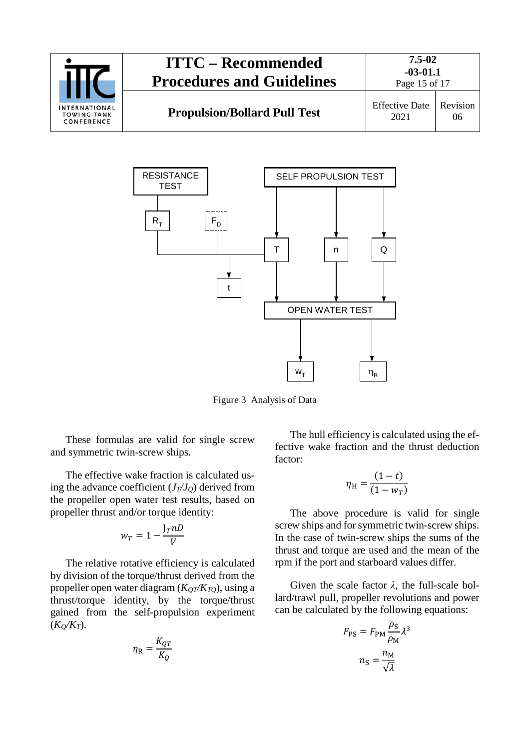



Figure 3 Analysis of Data

These formulas are valid for single screw and symmetric twin-screw ships.

The effective wake fraction is calculated using the advance coefficient  $(J_T/J_Q)$  derived from the propeller open water test results, based on propeller thrust and/or torque identity:

$$
w_T = 1 - \frac{J_T n D}{V}
$$

The relative rotative efficiency is calculated by division of the torque/thrust derived from the propeller open water diagram  $(K_{OT}/K_{TO})$ , using a thrust/torque identity, by the torque/thrust gained from the self-propulsion experiment  $(K_O/K_T)$ .

$$
\eta_{\rm R} = \frac{K_{QT}}{K_Q}
$$

The hull efficiency is calculated using the effective wake fraction and the thrust deduction factor:

$$
\eta_{\rm H} = \frac{(1-t)}{(1-w_T)}
$$

The above procedure is valid for single screw ships and for symmetric twin-screw ships. In the case of twin-screw ships the sums of the thrust and torque are used and the mean of the rpm if the port and starboard values differ.

Given the scale factor *λ*, the full-scale bollard/trawl pull, propeller revolutions and power can be calculated by the following equations:

$$
F_{\rm PS} = F_{\rm PM} \frac{\rho_{\rm S}}{\rho_{\rm M}} \lambda^3
$$

$$
n_{\rm S} = \frac{n_{\rm M}}{\sqrt{\lambda}}
$$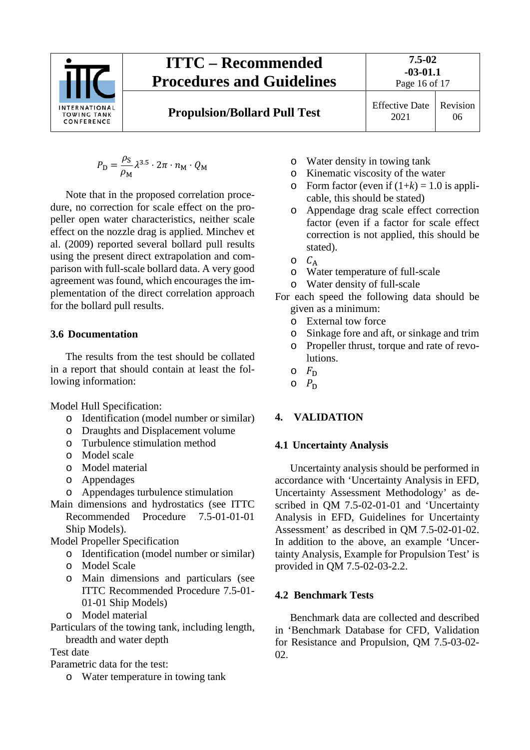

**7.5-02 -03-01.1**

**Propulsion/Bollard Pull Test** Effective Date

2021 Revision 06

$$
P_{\rm D} = \frac{\rho_{\rm S}}{\rho_{\rm M}} \lambda^{3.5} \cdot 2\pi \cdot n_{\rm M} \cdot Q_{\rm M}
$$

Note that in the proposed correlation procedure, no correction for scale effect on the propeller open water characteristics, neither scale effect on the nozzle drag is applied. Minchev et al. (2009) reported several bollard pull results using the present direct extrapolation and comparison with full-scale bollard data. A very good agreement was found, which encourages the implementation of the direct correlation approach for the bollard pull results.

# <span id="page-15-0"></span>**3.6 Documentation**

The results from the test should be collated in a report that should contain at least the following information:

Model Hull Specification:

- o Identification (model number or similar)
- o Draughts and Displacement volume
- o Turbulence stimulation method
- o Model scale
- o Model material
- o Appendages
- o Appendages turbulence stimulation
- Main dimensions and hydrostatics (see ITTC Recommended Procedure 7.5-01-01-01 Ship Models).
- Model Propeller Specification
	- o Identification (model number or similar)
	- o Model Scale
	- o Main dimensions and particulars (see ITTC Recommended Procedure 7.5-01- 01-01 Ship Models)
	- o Model material

Particulars of the towing tank, including length, breadth and water depth

Test date

Parametric data for the test:

o Water temperature in towing tank

- o Water density in towing tank
- o Kinematic viscosity of the water<br>  $\circ$  Form factor (even if  $(1+k) = 1$  0 i
- Form factor (even if  $(1+k) = 1.0$  is applicable, this should be stated)
- o Appendage drag scale effect correction factor (even if a factor for scale effect correction is not applied, this should be stated).
- $\circ$   $C_A$
- o Water temperature of full-scale
- o Water density of full-scale
- For each speed the following data should be given as a minimum:
	- o External tow force
	- o Sinkage fore and aft, or sinkage and trim
	- o Propeller thrust, torque and rate of revolutions.
	- $\circ$   $F_D$
	- $O$   $P_D$

# <span id="page-15-2"></span><span id="page-15-1"></span>**4. VALIDATION**

# **4.1 Uncertainty Analysis**

Uncertainty analysis should be performed in accordance with 'Uncertainty Analysis in EFD, Uncertainty Assessment Methodology' as described in QM 7.5-02-01-01 and 'Uncertainty Analysis in EFD, Guidelines for Uncertainty Assessment' as described in QM 7.5-02-01-02. In addition to the above, an example 'Uncertainty Analysis, Example for Propulsion Test' is provided in QM 7.5-02-03-2.2.

# <span id="page-15-3"></span>**4.2 Benchmark Tests**

Benchmark data are collected and described in 'Benchmark Database for CFD, Validation for Resistance and Propulsion, QM 7.5-03-02- 02.